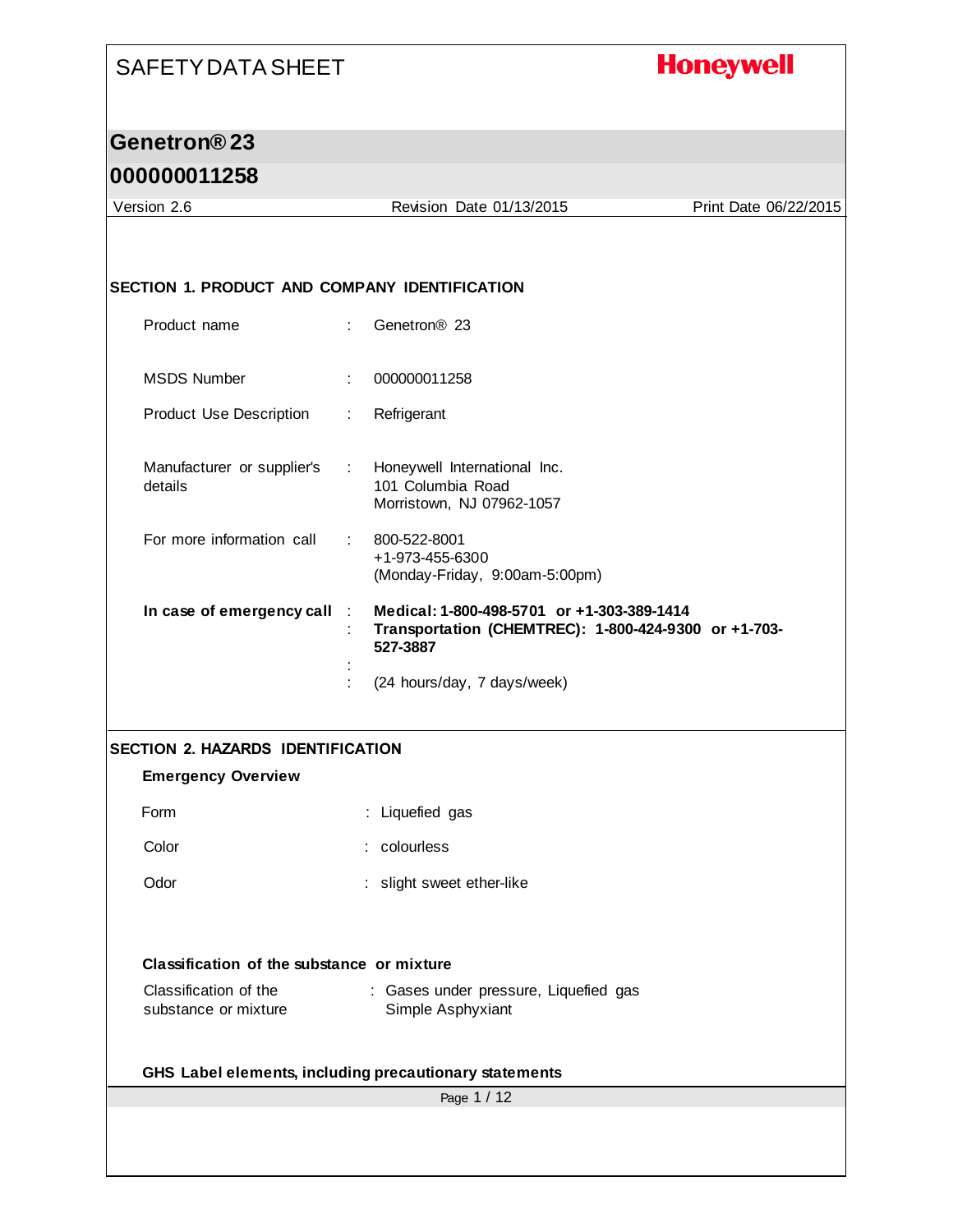# **Honeywell**

## **Genetron® 23**

| Version 2.6                                   | Revision Date 01/13/2015                                                                                       | Print Date 06/22/2015 |
|-----------------------------------------------|----------------------------------------------------------------------------------------------------------------|-----------------------|
|                                               |                                                                                                                |                       |
| SECTION 1. PRODUCT AND COMPANY IDENTIFICATION |                                                                                                                |                       |
| Product name                                  | Genetron <sup>®</sup> 23<br>$\mathbb{Z}^{\times}$                                                              |                       |
| <b>MSDS Number</b>                            | 000000011258<br>÷                                                                                              |                       |
| <b>Product Use Description</b>                | Refrigerant<br>t.                                                                                              |                       |
| Manufacturer or supplier's<br>details         | Honeywell International Inc.<br>$\mathcal{L}_{\mathrm{max}}$<br>101 Columbia Road<br>Morristown, NJ 07962-1057 |                       |
| For more information call                     | 800-522-8001<br>+1-973-455-6300<br>(Monday-Friday, 9:00am-5:00pm)                                              |                       |
| In case of emergency call                     | Medical: 1-800-498-5701 or +1-303-389-1414<br>Transportation (CHEMTREC): 1-800-424-9300 or +1-703-<br>527-3887 |                       |
|                                               | (24 hours/day, 7 days/week)                                                                                    |                       |
| <b>SECTION 2. HAZARDS IDENTIFICATION</b>      |                                                                                                                |                       |
| <b>Emergency Overview</b>                     |                                                                                                                |                       |
| Form                                          | : Liquefied gas                                                                                                |                       |
| Color                                         | : colourless                                                                                                   |                       |
| Odor                                          | : slight sweet ether-like                                                                                      |                       |
| Classification of the substance or mixture    |                                                                                                                |                       |
| Classification of the<br>substance or mixture | : Gases under pressure, Liquefied gas<br>Simple Asphyxiant                                                     |                       |
|                                               | GHS Label elements, including precautionary statements                                                         |                       |
|                                               | Page 1 / 12                                                                                                    |                       |
|                                               |                                                                                                                |                       |
|                                               |                                                                                                                |                       |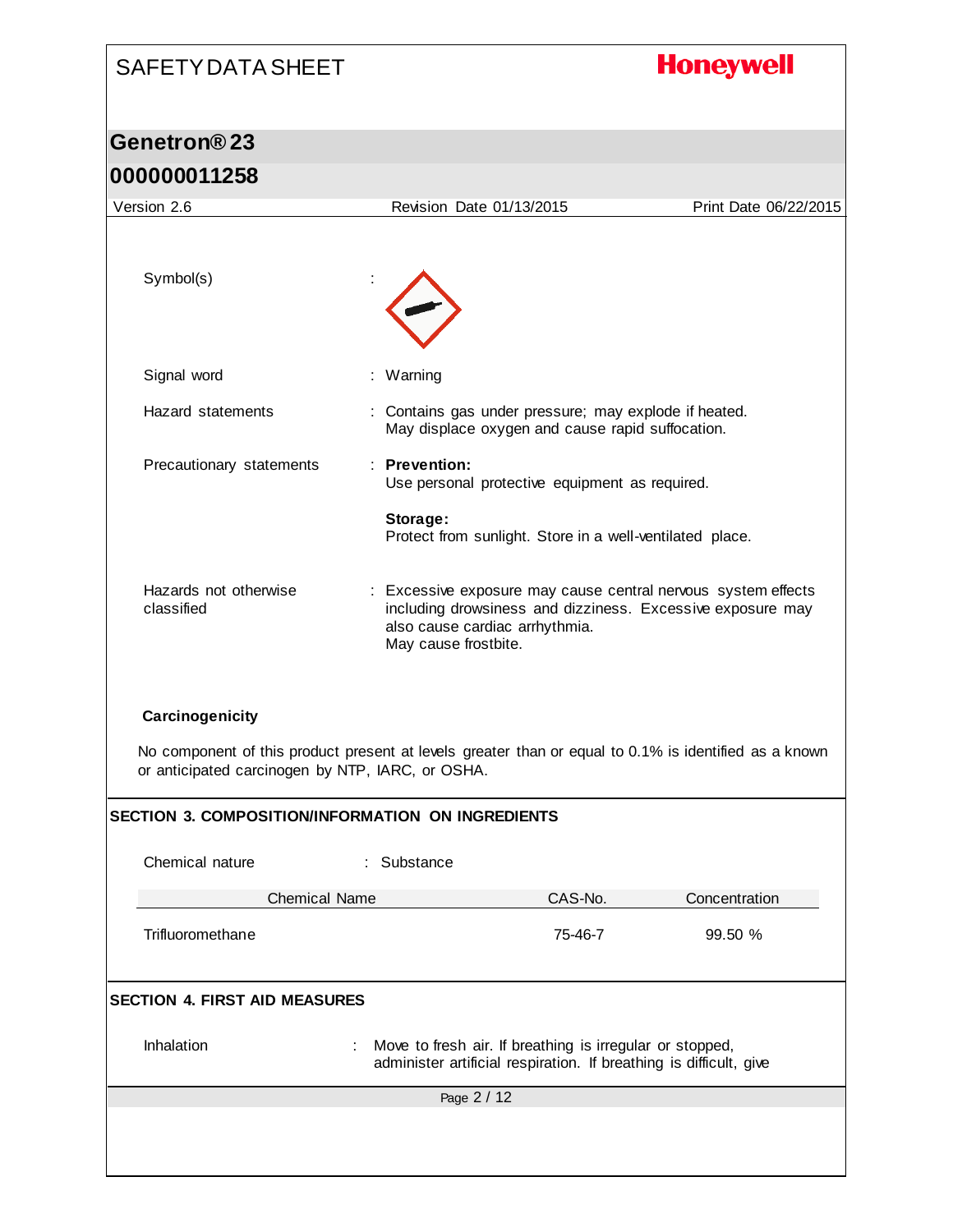# **Honeywell**

### **Genetron® 23 000000011258**

| Revision Date 01/13/2015                                                                                                                                                              | Print Date 06/22/2015 |
|---------------------------------------------------------------------------------------------------------------------------------------------------------------------------------------|-----------------------|
|                                                                                                                                                                                       |                       |
|                                                                                                                                                                                       |                       |
| : Warning                                                                                                                                                                             |                       |
| : Contains gas under pressure; may explode if heated.<br>May displace oxygen and cause rapid suffocation.                                                                             |                       |
| : Prevention:<br>Use personal protective equipment as required.                                                                                                                       |                       |
| Storage:<br>Protect from sunlight. Store in a well-ventilated place.                                                                                                                  |                       |
| : Excessive exposure may cause central nervous system effects<br>including drowsiness and dizziness. Excessive exposure may<br>also cause cardiac arrhythmia.<br>May cause frostbite. |                       |
| No component of this product present at levels greater than or equal to 0.1% is identified as a known<br>or anticipated carcinogen by NTP, IARC, or OSHA.                             |                       |
| <b>SECTION 3. COMPOSITION/INFORMATION ON INGREDIENTS</b>                                                                                                                              |                       |
| Substance                                                                                                                                                                             |                       |
| <b>Chemical Name</b><br>CAS-No.                                                                                                                                                       | Concentration         |
| 75-46-7                                                                                                                                                                               | 99.50 %               |
|                                                                                                                                                                                       |                       |
| Move to fresh air. If breathing is irregular or stopped,<br>administer artificial respiration. If breathing is difficult, give                                                        |                       |
| Page 2 / 12                                                                                                                                                                           |                       |
|                                                                                                                                                                                       |                       |
|                                                                                                                                                                                       |                       |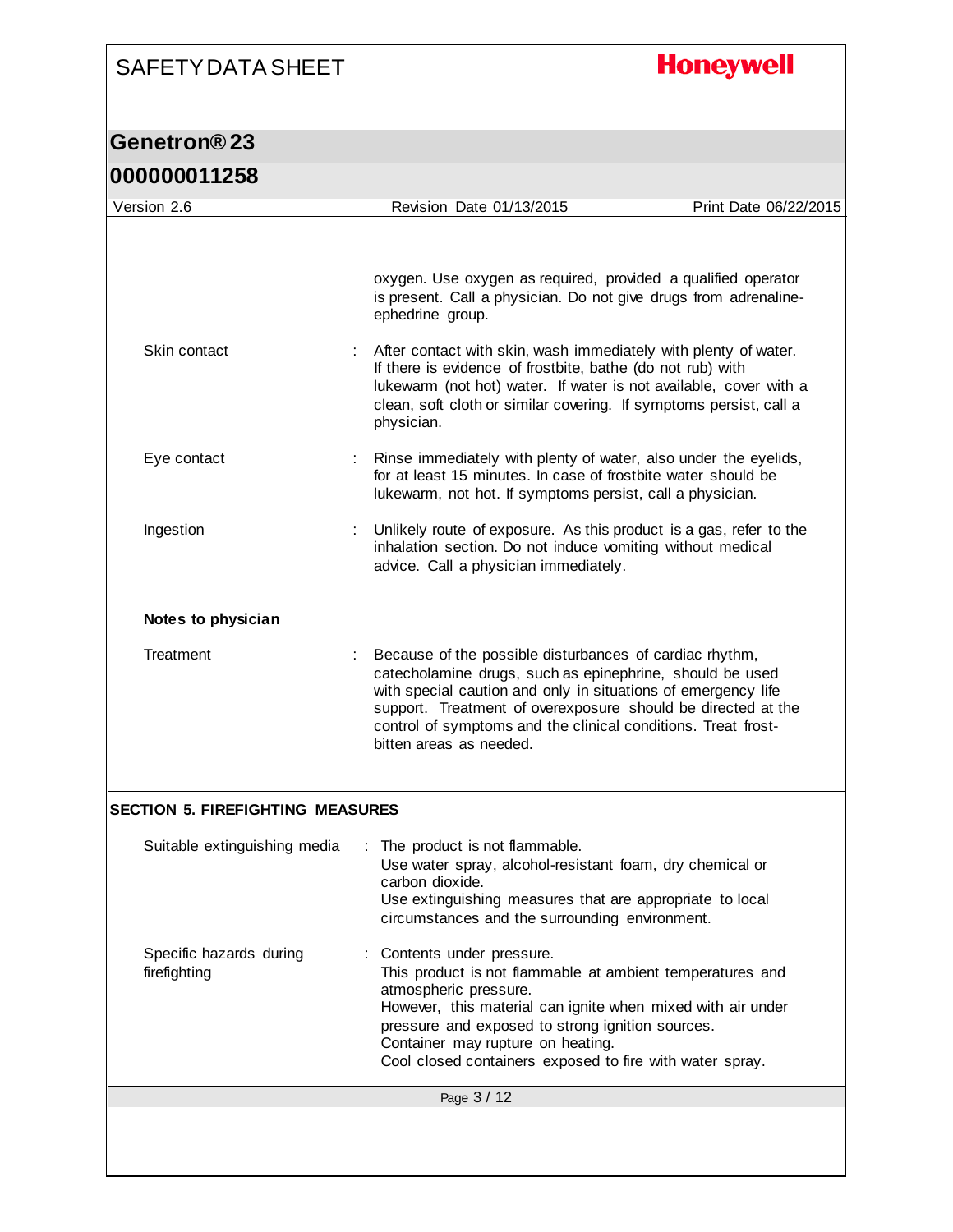# **Honeywell**

## **Genetron® 23**

| 000000011258 |  |  |  |  |  |  |  |  |  |  |  |
|--------------|--|--|--|--|--|--|--|--|--|--|--|
|--------------|--|--|--|--|--|--|--|--|--|--|--|

| Version 2.6                             | Revision Date 01/13/2015                                                                                                                                                                                                                                                                                                                                                                                                                        | Print Date 06/22/2015 |
|-----------------------------------------|-------------------------------------------------------------------------------------------------------------------------------------------------------------------------------------------------------------------------------------------------------------------------------------------------------------------------------------------------------------------------------------------------------------------------------------------------|-----------------------|
| Skin contact                            | oxygen. Use oxygen as required, provided a qualified operator<br>is present. Call a physician. Do not give drugs from adrenaline-<br>ephedrine group.<br>After contact with skin, wash immediately with plenty of water.<br>If there is evidence of frostbite, bathe (do not rub) with<br>lukewarm (not hot) water. If water is not available, cover with a<br>clean, soft cloth or similar covering. If symptoms persist, call a<br>physician. |                       |
| Eye contact                             | Rinse immediately with plenty of water, also under the eyelids,<br>for at least 15 minutes. In case of frostbite water should be<br>lukewarm, not hot. If symptoms persist, call a physician.                                                                                                                                                                                                                                                   |                       |
| Ingestion                               | Unlikely route of exposure. As this product is a gas, refer to the<br>inhalation section. Do not induce vomiting without medical<br>advice. Call a physician immediately.                                                                                                                                                                                                                                                                       |                       |
| Notes to physician                      |                                                                                                                                                                                                                                                                                                                                                                                                                                                 |                       |
| Treatment                               | Because of the possible disturbances of cardiac rhythm,<br>catecholamine drugs, such as epinephrine, should be used<br>with special caution and only in situations of emergency life<br>support. Treatment of overexposure should be directed at the<br>control of symptoms and the clinical conditions. Treat frost-<br>bitten areas as needed.                                                                                                |                       |
| <b>SECTION 5. FIREFIGHTING MEASURES</b> |                                                                                                                                                                                                                                                                                                                                                                                                                                                 |                       |
| Suitable extinguishing media            | : The product is not flammable.<br>Use water spray, alcohol-resistant foam, dry chemical or<br>carbon dioxide.<br>Use extinguishing measures that are appropriate to local<br>circumstances and the surrounding environment.                                                                                                                                                                                                                    |                       |
| Specific hazards during<br>firefighting | Contents under pressure.<br>This product is not flammable at ambient temperatures and<br>atmospheric pressure.<br>However, this material can ignite when mixed with air under<br>pressure and exposed to strong ignition sources.<br>Container may rupture on heating.<br>Cool closed containers exposed to fire with water spray.                                                                                                              |                       |
|                                         | Page 3 / 12                                                                                                                                                                                                                                                                                                                                                                                                                                     |                       |
|                                         |                                                                                                                                                                                                                                                                                                                                                                                                                                                 |                       |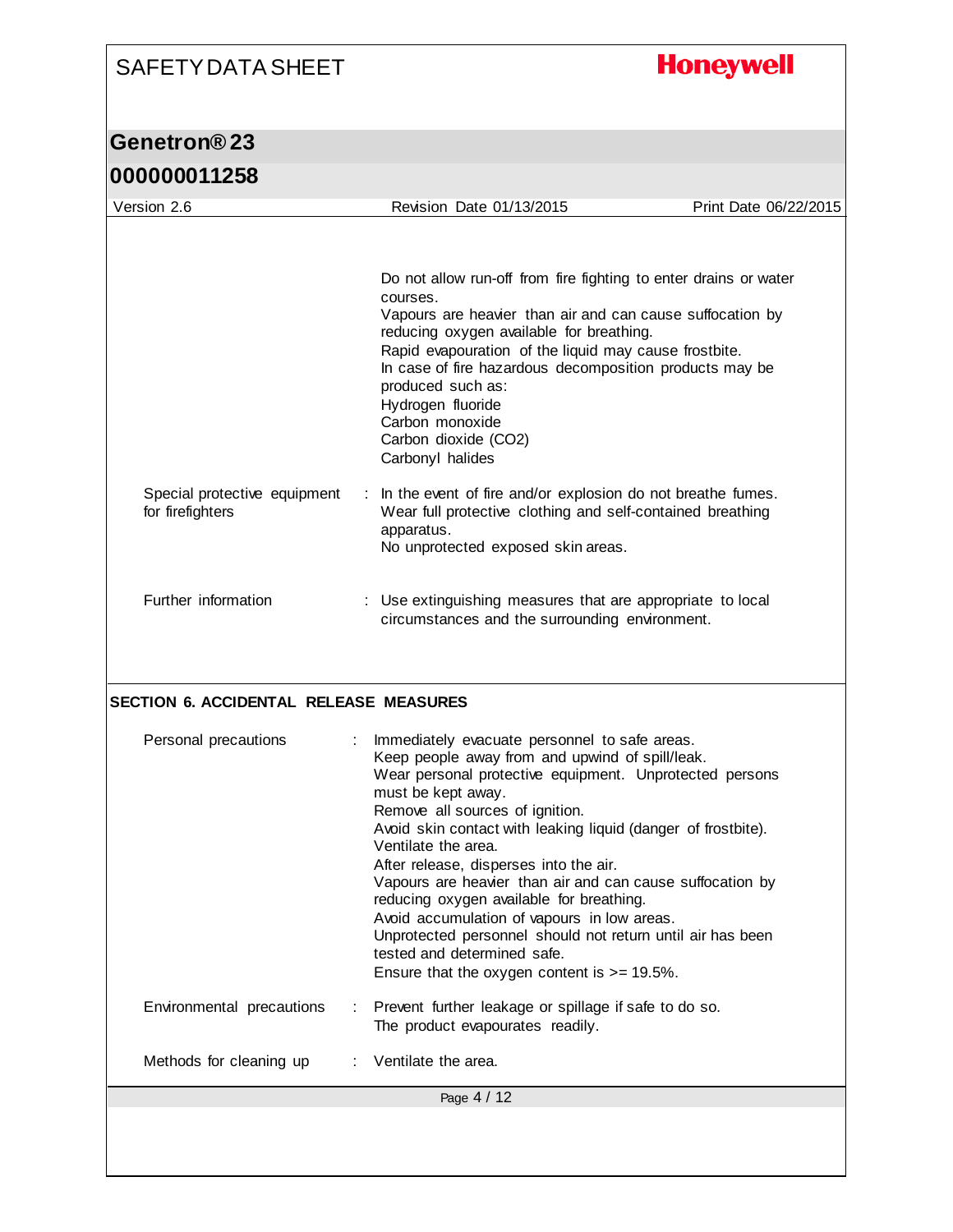# **Honeywell**

### **Genetron® 23 000000011258**

| Version 2.6                                      |    | Revision Date 01/13/2015                                                                                                                                       | Print Date 06/22/2015 |
|--------------------------------------------------|----|----------------------------------------------------------------------------------------------------------------------------------------------------------------|-----------------------|
|                                                  |    |                                                                                                                                                                |                       |
|                                                  |    | Do not allow run-off from fire fighting to enter drains or water<br>courses.                                                                                   |                       |
|                                                  |    | Vapours are heavier than air and can cause suffocation by<br>reducing oxygen available for breathing.<br>Rapid evapouration of the liquid may cause frostbite. |                       |
|                                                  |    | In case of fire hazardous decomposition products may be<br>produced such as:<br>Hydrogen fluoride<br>Carbon monoxide                                           |                       |
|                                                  |    | Carbon dioxide (CO2)<br>Carbonyl halides                                                                                                                       |                       |
| Special protective equipment<br>for firefighters |    | : In the event of fire and/or explosion do not breathe fumes.<br>Wear full protective clothing and self-contained breathing<br>apparatus.                      |                       |
|                                                  |    | No unprotected exposed skin areas.                                                                                                                             |                       |
| Further information                              |    | : Use extinguishing measures that are appropriate to local<br>circumstances and the surrounding environment.                                                   |                       |
|                                                  |    |                                                                                                                                                                |                       |
|                                                  |    |                                                                                                                                                                |                       |
|                                                  |    |                                                                                                                                                                |                       |
| <b>SECTION 6. ACCIDENTAL RELEASE MEASURES</b>    |    |                                                                                                                                                                |                       |
| Personal precautions                             | ÷. | Immediately evacuate personnel to safe areas.                                                                                                                  |                       |
|                                                  |    | Keep people away from and upwind of spill/leak.<br>Wear personal protective equipment. Unprotected persons                                                     |                       |
|                                                  |    | must be kept away.                                                                                                                                             |                       |
|                                                  |    | Remove all sources of ignition.<br>Avoid skin contact with leaking liquid (danger of frostbite).<br>Ventilate the area.                                        |                       |
|                                                  |    | After release, disperses into the air.<br>Vapours are heavier than air and can cause suffocation by                                                            |                       |
|                                                  |    | reducing oxygen available for breathing.                                                                                                                       |                       |
|                                                  |    | Avoid accumulation of vapours in low areas.<br>Unprotected personnel should not return until air has been                                                      |                       |
|                                                  |    | tested and determined safe.<br>Ensure that the oxygen content is $>= 19.5\%$ .                                                                                 |                       |
| Environmental precautions                        |    | : Prevent further leakage or spillage if safe to do so.<br>The product evapourates readily.                                                                    |                       |
| Methods for cleaning up                          |    | Ventilate the area.                                                                                                                                            |                       |
|                                                  |    | Page 4 / 12                                                                                                                                                    |                       |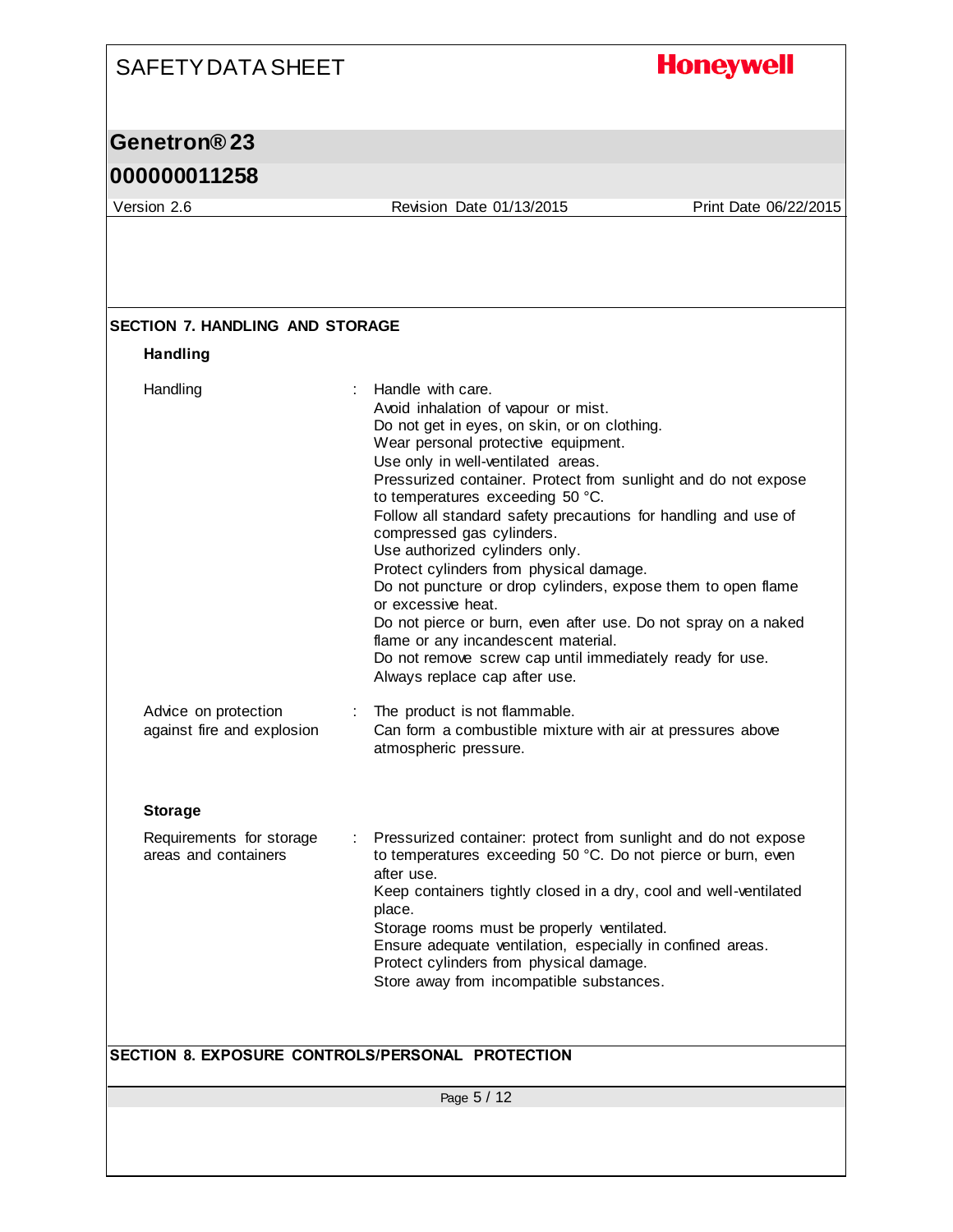## **Honeywell**

### **Genetron® 23**

### **000000011258**

Version 2.6 Revision Date 01/13/2015 Print Date 06/22/2015

| <b>Handling</b>                                    |                                                                                                                                                                                                                                                                                                                                                                                                                                                                                                                                                                                                                                                                                                                                                                          |
|----------------------------------------------------|--------------------------------------------------------------------------------------------------------------------------------------------------------------------------------------------------------------------------------------------------------------------------------------------------------------------------------------------------------------------------------------------------------------------------------------------------------------------------------------------------------------------------------------------------------------------------------------------------------------------------------------------------------------------------------------------------------------------------------------------------------------------------|
| Handling                                           | Handle with care.<br>÷<br>Avoid inhalation of vapour or mist.<br>Do not get in eyes, on skin, or on clothing.<br>Wear personal protective equipment.<br>Use only in well-ventilated areas.<br>Pressurized container. Protect from sunlight and do not expose<br>to temperatures exceeding 50 °C.<br>Follow all standard safety precautions for handling and use of<br>compressed gas cylinders.<br>Use authorized cylinders only.<br>Protect cylinders from physical damage.<br>Do not puncture or drop cylinders, expose them to open flame<br>or excessive heat.<br>Do not pierce or burn, even after use. Do not spray on a naked<br>flame or any incandescent material.<br>Do not remove screw cap until immediately ready for use.<br>Always replace cap after use. |
| Advice on protection<br>against fire and explosion | The product is not flammable.<br>÷<br>Can form a combustible mixture with air at pressures above<br>atmospheric pressure.                                                                                                                                                                                                                                                                                                                                                                                                                                                                                                                                                                                                                                                |
| <b>Storage</b>                                     |                                                                                                                                                                                                                                                                                                                                                                                                                                                                                                                                                                                                                                                                                                                                                                          |
| Requirements for storage<br>areas and containers   | Pressurized container: protect from sunlight and do not expose<br>to temperatures exceeding 50 °C. Do not pierce or burn, even<br>after use.<br>Keep containers tightly closed in a dry, cool and well-ventilated<br>place.<br>Storage rooms must be properly ventilated.<br>Ensure adequate ventilation, especially in confined areas.<br>Protect cylinders from physical damage.<br>Store away from incompatible substances.                                                                                                                                                                                                                                                                                                                                           |
|                                                    |                                                                                                                                                                                                                                                                                                                                                                                                                                                                                                                                                                                                                                                                                                                                                                          |
|                                                    | SECTION 8. EXPOSURE CONTROLS/PERSONAL PROTECTION                                                                                                                                                                                                                                                                                                                                                                                                                                                                                                                                                                                                                                                                                                                         |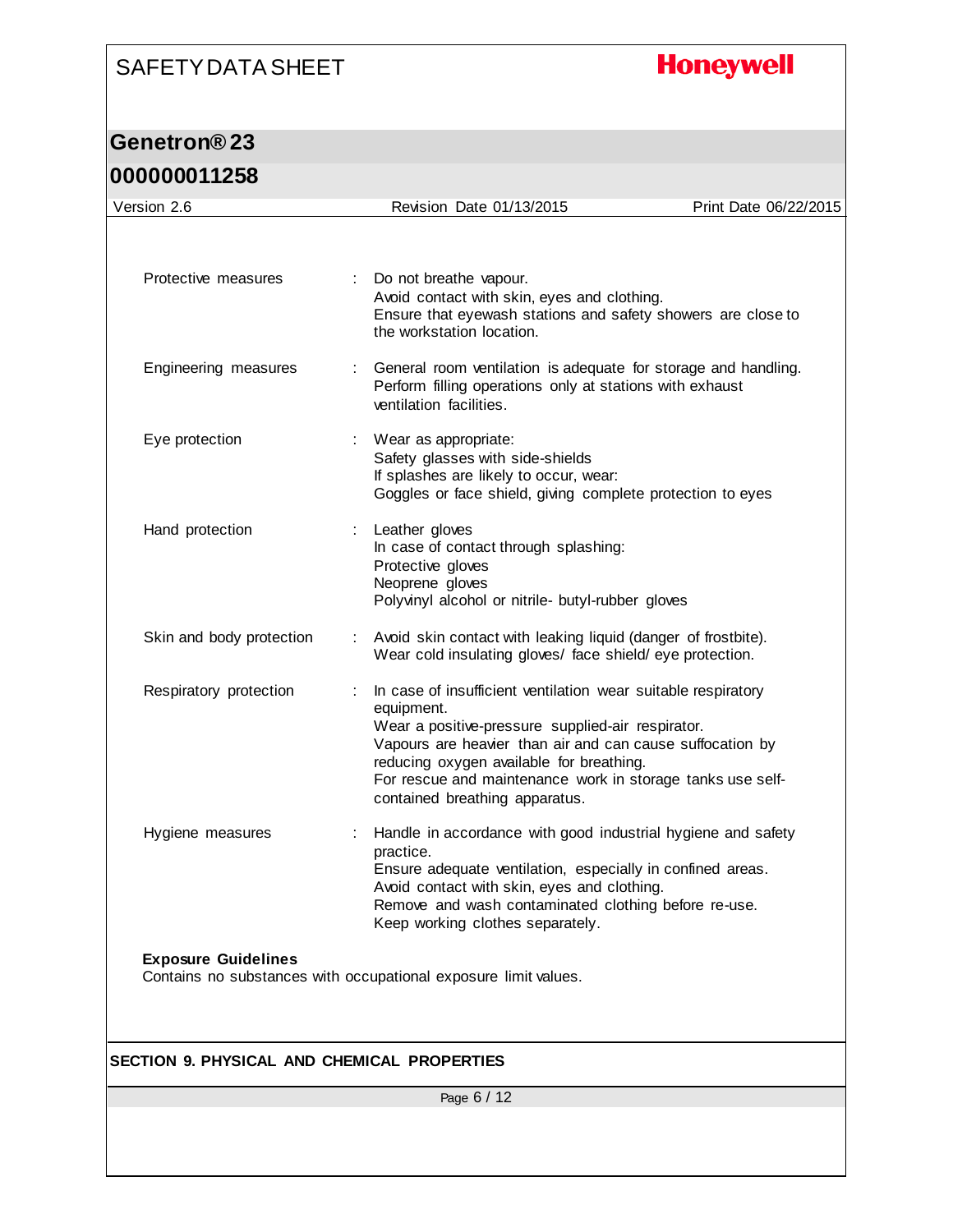# **Honeywell**

## **Genetron® 23**

| Version 2.6                                                                                   |    | Revision Date 01/13/2015                                                                                                                                                                                                                                                                                                                  | Print Date 06/22/2015 |  |  |
|-----------------------------------------------------------------------------------------------|----|-------------------------------------------------------------------------------------------------------------------------------------------------------------------------------------------------------------------------------------------------------------------------------------------------------------------------------------------|-----------------------|--|--|
| Protective measures                                                                           | t. | Do not breathe vapour.<br>Avoid contact with skin, eyes and clothing.<br>Ensure that eyewash stations and safety showers are close to                                                                                                                                                                                                     |                       |  |  |
| Engineering measures                                                                          |    | the workstation location.<br>General room ventilation is adequate for storage and handling.<br>Perform filling operations only at stations with exhaust<br>ventilation facilities.                                                                                                                                                        |                       |  |  |
| Eye protection                                                                                |    | Wear as appropriate:<br>Safety glasses with side-shields<br>If splashes are likely to occur, wear:<br>Goggles or face shield, giving complete protection to eyes                                                                                                                                                                          |                       |  |  |
| Hand protection                                                                               |    | Leather gloves<br>In case of contact through splashing:<br>Protective gloves<br>Neoprene gloves<br>Polyvinyl alcohol or nitrile- butyl-rubber gloves                                                                                                                                                                                      |                       |  |  |
| Skin and body protection                                                                      |    | Avoid skin contact with leaking liquid (danger of frostbite).<br>Wear cold insulating gloves/ face shield/eye protection.                                                                                                                                                                                                                 |                       |  |  |
| Respiratory protection                                                                        |    | In case of insufficient ventilation wear suitable respiratory<br>equipment.<br>Wear a positive-pressure supplied-air respirator.<br>Vapours are heavier than air and can cause suffocation by<br>reducing oxygen available for breathing.<br>For rescue and maintenance work in storage tanks use self-<br>contained breathing apparatus. |                       |  |  |
| Hygiene measures                                                                              |    | Handle in accordance with good industrial hygiene and safety<br>practice.<br>Ensure adequate ventilation, especially in confined areas.<br>Avoid contact with skin, eyes and clothing.<br>Remove and wash contaminated clothing before re-use.<br>Keep working clothes separately.                                                        |                       |  |  |
| <b>Exposure Guidelines</b><br>Contains no substances with occupational exposure limit values. |    |                                                                                                                                                                                                                                                                                                                                           |                       |  |  |
| SECTION 9. PHYSICAL AND CHEMICAL PROPERTIES                                                   |    |                                                                                                                                                                                                                                                                                                                                           |                       |  |  |
|                                                                                               |    | Page 6 / 12                                                                                                                                                                                                                                                                                                                               |                       |  |  |
|                                                                                               |    |                                                                                                                                                                                                                                                                                                                                           |                       |  |  |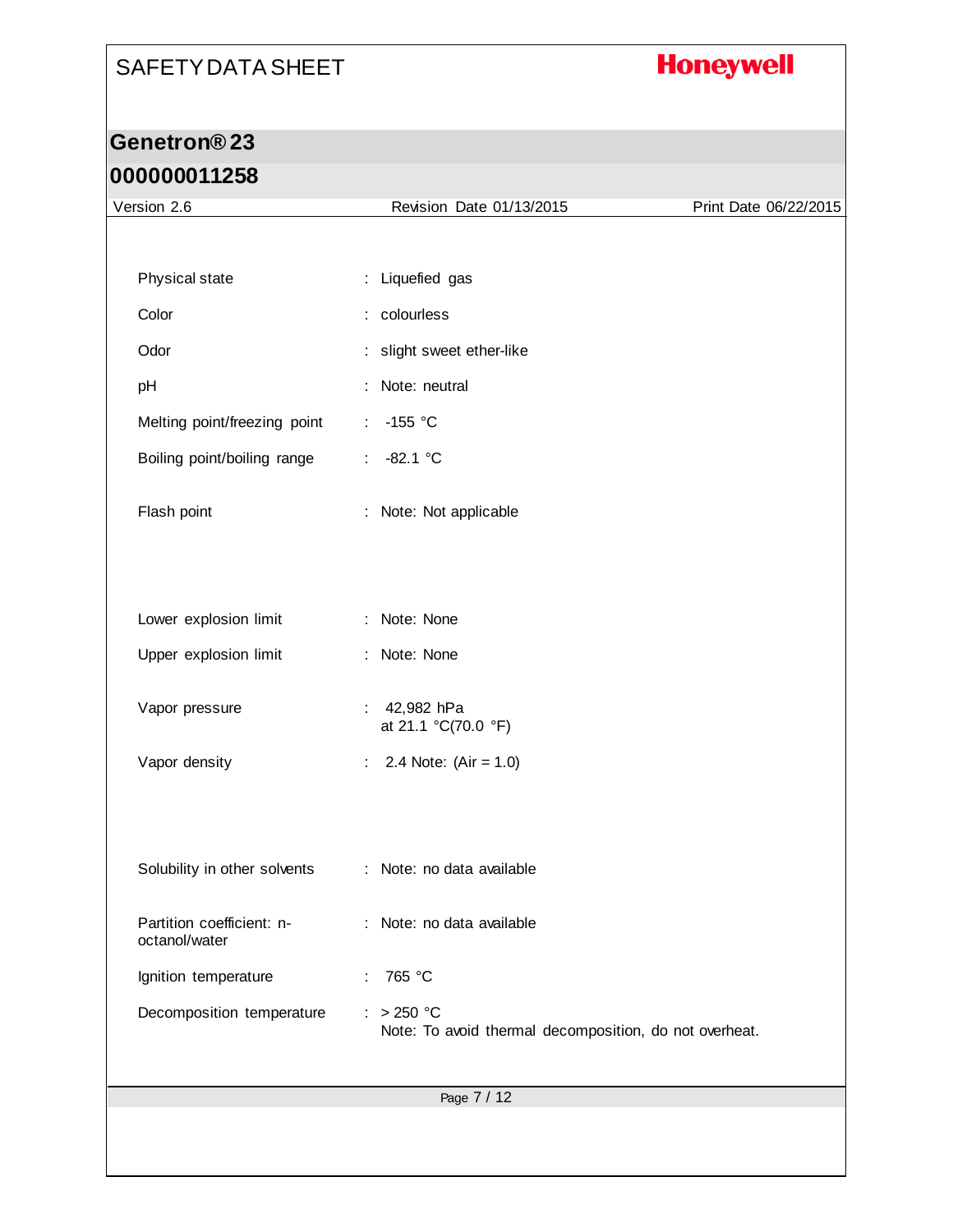# **Honeywell**

# **Genetron® 23**

| Version 2.6                                | Revision Date 01/13/2015                                               | Print Date 06/22/2015 |
|--------------------------------------------|------------------------------------------------------------------------|-----------------------|
|                                            |                                                                        |                       |
| Physical state                             | : Liquefied gas                                                        |                       |
| Color                                      | : colourless                                                           |                       |
| Odor                                       | : slight sweet ether-like                                              |                       |
| pH                                         | Note: neutral<br>÷                                                     |                       |
| Melting point/freezing point               | $-155$ °C<br>÷                                                         |                       |
| Boiling point/boiling range                | ÷.<br>$-82.1 °C$                                                       |                       |
| Flash point                                | Note: Not applicable<br>÷                                              |                       |
|                                            |                                                                        |                       |
| Lower explosion limit                      | Note: None<br>÷                                                        |                       |
| Upper explosion limit                      | : Note: None                                                           |                       |
| Vapor pressure                             | 42,982 hPa<br>at 21.1 °C(70.0 °F)                                      |                       |
| Vapor density                              | 2.4 Note: $(Air = 1.0)$<br>÷                                           |                       |
|                                            |                                                                        |                       |
| Solubility in other solvents               | : Note: no data available                                              |                       |
| Partition coefficient: n-<br>octanol/water | Note: no data available<br>÷                                           |                       |
| Ignition temperature                       | 765 °C<br>÷                                                            |                       |
| Decomposition temperature                  | $: > 250$ °C<br>Note: To avoid thermal decomposition, do not overheat. |                       |
|                                            | Page 7 / 12                                                            |                       |
|                                            |                                                                        |                       |
|                                            |                                                                        |                       |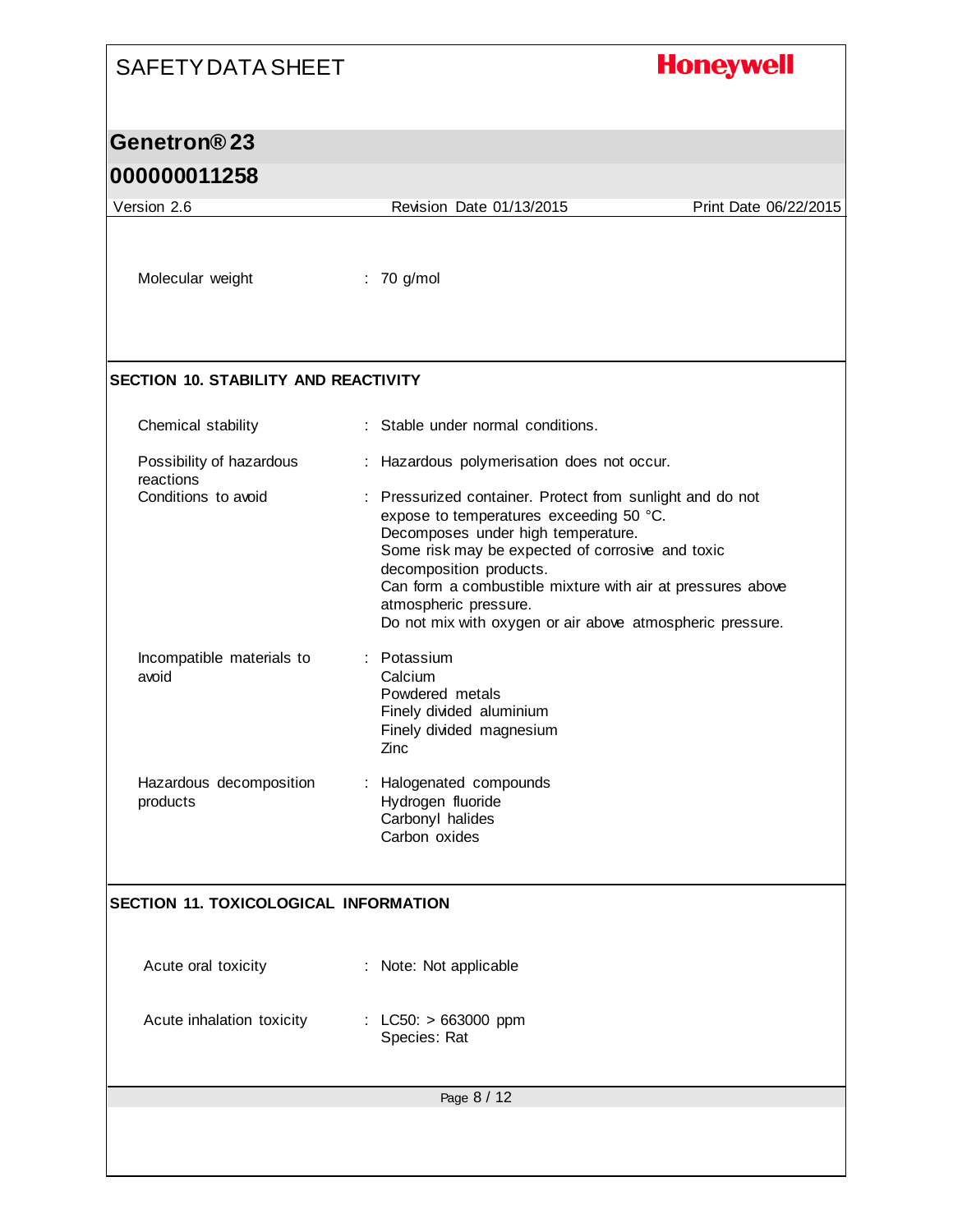### **Honeywell**

### **Genetron® 23**

### **000000011258**

Page 8 / 12 Version 2.6 Revision Date 01/13/2015 Print Date 06/22/2015 Molecular weight : 70 g/mol **SECTION 10. STABILITY AND REACTIVITY** Chemical stability : Stable under normal conditions. Possibility of hazardous reactions : Hazardous polymerisation does not occur. Conditions to avoid : Pressurized container. Protect from sunlight and do not expose to temperatures exceeding 50 °C. Decomposes under high temperature. Some risk may be expected of corrosive and toxic decomposition products. Can form a combustible mixture with air at pressures above atmospheric pressure. Do not mix with oxygen or air above atmospheric pressure. Incompatible materials to avoid : Potassium **Calcium** Powdered metals Finely divided aluminium Finely divided magnesium Zinc Hazardous decomposition products : Halogenated compounds Hydrogen fluoride Carbonyl halides Carbon oxides **SECTION 11. TOXICOLOGICAL INFORMATION** Acute oral toxicity : Note: Not applicable Acute inhalation toxicity : LC50: > 663000 ppm Species: Rat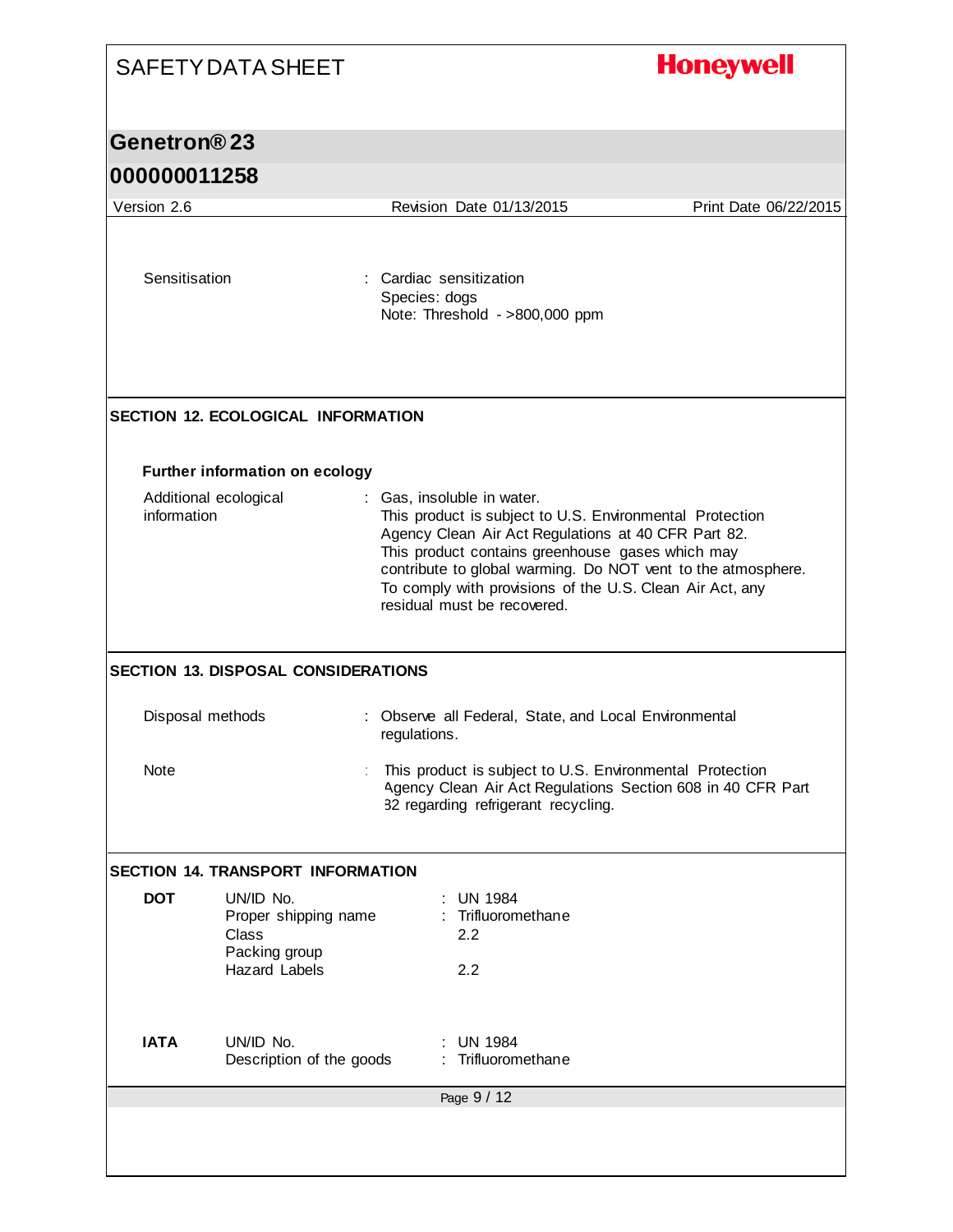| <b>SAFETY DATA SHEET</b> |                                                                                     |              | <b>Honeywell</b>                                                                                                                                                                                                                                                                                                                                             |                       |
|--------------------------|-------------------------------------------------------------------------------------|--------------|--------------------------------------------------------------------------------------------------------------------------------------------------------------------------------------------------------------------------------------------------------------------------------------------------------------------------------------------------------------|-----------------------|
| Genetron®23              |                                                                                     |              |                                                                                                                                                                                                                                                                                                                                                              |                       |
| 000000011258             |                                                                                     |              |                                                                                                                                                                                                                                                                                                                                                              |                       |
| Version 2.6              |                                                                                     |              | Revision Date 01/13/2015                                                                                                                                                                                                                                                                                                                                     | Print Date 06/22/2015 |
| Sensitisation            |                                                                                     |              | : Cardiac sensitization<br>Species: dogs<br>Note: Threshold - >800,000 ppm                                                                                                                                                                                                                                                                                   |                       |
|                          | <b>SECTION 12. ECOLOGICAL INFORMATION</b>                                           |              |                                                                                                                                                                                                                                                                                                                                                              |                       |
|                          | <b>Further information on ecology</b>                                               |              |                                                                                                                                                                                                                                                                                                                                                              |                       |
| information              | Additional ecological                                                               |              | : Gas, insoluble in water.<br>This product is subject to U.S. Environmental Protection<br>Agency Clean Air Act Regulations at 40 CFR Part 82.<br>This product contains greenhouse gases which may<br>contribute to global warming. Do NOT vent to the atmosphere.<br>To comply with provisions of the U.S. Clean Air Act, any<br>residual must be recovered. |                       |
|                          | <b>SECTION 13. DISPOSAL CONSIDERATIONS</b>                                          |              |                                                                                                                                                                                                                                                                                                                                                              |                       |
| Disposal methods         |                                                                                     | regulations. | : Observe all Federal, State, and Local Environmental                                                                                                                                                                                                                                                                                                        |                       |
| <b>Note</b>              |                                                                                     |              | This product is subject to U.S. Environmental Protection<br>Agency Clean Air Act Regulations Section 608 in 40 CFR Part<br>82 regarding refrigerant recycling.                                                                                                                                                                                               |                       |
|                          | <b>SECTION 14. TRANSPORT INFORMATION</b>                                            |              |                                                                                                                                                                                                                                                                                                                                                              |                       |
| <b>DOT</b>               | UN/ID No.<br>Proper shipping name<br>Class<br>Packing group<br><b>Hazard Labels</b> |              | <b>UN 1984</b><br>Trifluoromethane<br>2.2<br>2.2                                                                                                                                                                                                                                                                                                             |                       |
| <b>IATA</b>              | UN/ID No.<br>Description of the goods                                               |              | <b>UN 1984</b><br>Trifluoromethane                                                                                                                                                                                                                                                                                                                           |                       |
|                          |                                                                                     |              | Page 9 / 12                                                                                                                                                                                                                                                                                                                                                  |                       |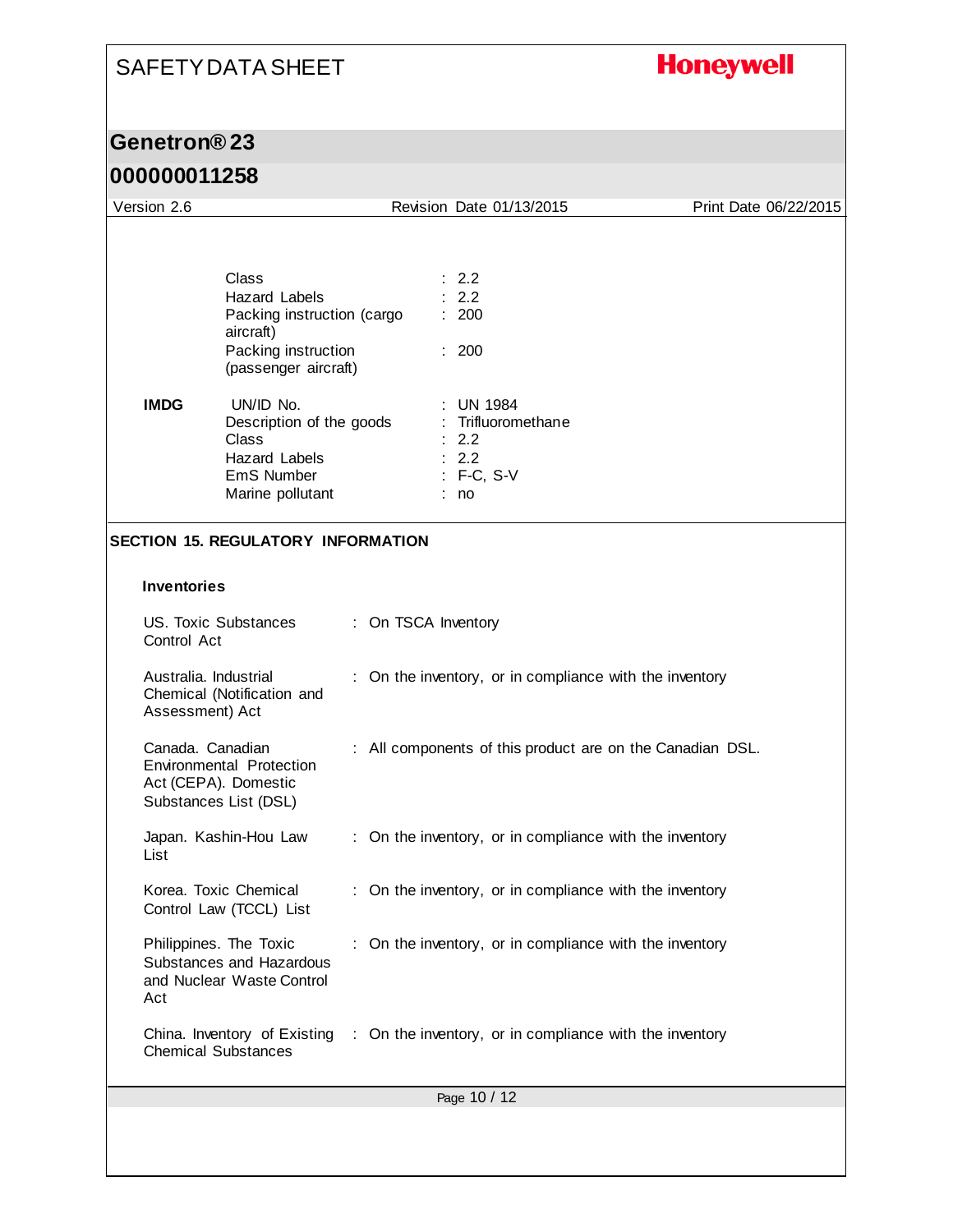# **Honeywell**

### **Genetron® 23**

| Version 2.6                                                                   |                                                                                                                                                                                                                              |                     | Revision Date 01/13/2015                                                                                                    | Print Date 06/22/2015                                     |
|-------------------------------------------------------------------------------|------------------------------------------------------------------------------------------------------------------------------------------------------------------------------------------------------------------------------|---------------------|-----------------------------------------------------------------------------------------------------------------------------|-----------------------------------------------------------|
| <b>IMDG</b>                                                                   | Class<br>Hazard Labels<br>Packing instruction (cargo<br>aircraft)<br>Packing instruction<br>(passenger aircraft)<br>UN/ID No.<br>Description of the goods<br>Class<br><b>Hazard Labels</b><br>EmS Number<br>Marine pollutant |                     | : 2.2<br>2.2<br>: 200<br>: 200<br><b>UN 1984</b><br>: Trifluoromethane<br>$\therefore$ 2.2<br>: 2.2<br>$: F-C, S-V$<br>: no |                                                           |
|                                                                               | <b>SECTION 15. REGULATORY INFORMATION</b>                                                                                                                                                                                    |                     |                                                                                                                             |                                                           |
| <b>Inventories</b><br>Control Act<br>Australia. Industrial<br>Assessment) Act | <b>US. Toxic Substances</b><br>Chemical (Notification and                                                                                                                                                                    | : On TSCA Inventory | : On the inventory, or in compliance with the inventory                                                                     |                                                           |
| Canada. Canadian<br>Act (CEPA). Domestic                                      | Environmental Protection<br>Substances List (DSL)                                                                                                                                                                            |                     |                                                                                                                             | : All components of this product are on the Canadian DSL. |
| List                                                                          | Japan. Kashin-Hou Law                                                                                                                                                                                                        |                     | : On the inventory, or in compliance with the inventory                                                                     |                                                           |
|                                                                               | Korea. Toxic Chemical<br>Control Law (TCCL) List                                                                                                                                                                             |                     | : On the inventory, or in compliance with the inventory                                                                     |                                                           |
| Philippines. The Toxic<br>Act                                                 | Substances and Hazardous<br>and Nuclear Waste Control                                                                                                                                                                        |                     | : On the inventory, or in compliance with the inventory                                                                     |                                                           |
| <b>Chemical Substances</b>                                                    |                                                                                                                                                                                                                              |                     | China. Inventory of Existing : On the inventory, or in compliance with the inventory                                        |                                                           |
|                                                                               |                                                                                                                                                                                                                              |                     | Page 10 / 12                                                                                                                |                                                           |
|                                                                               |                                                                                                                                                                                                                              |                     |                                                                                                                             |                                                           |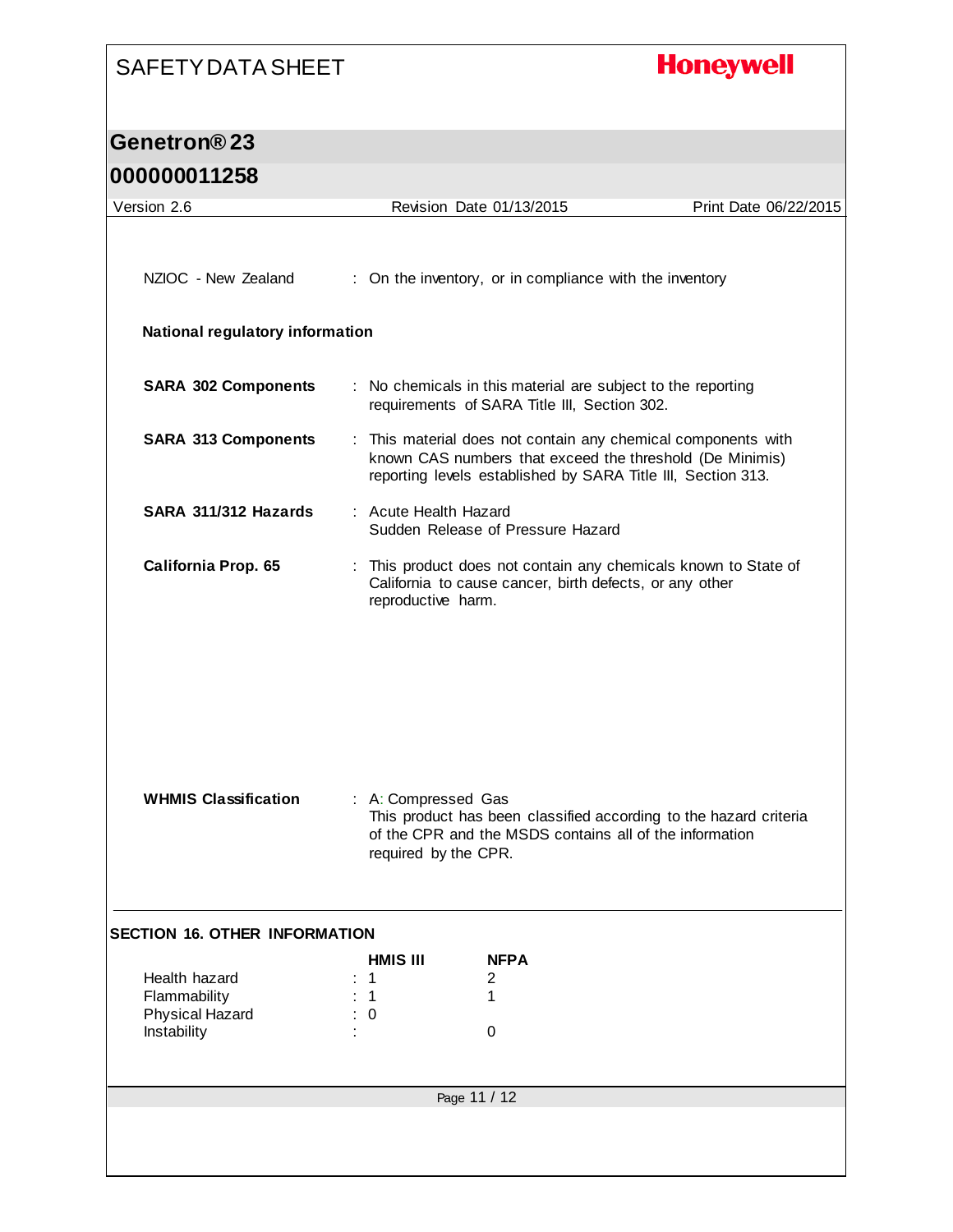# **Honeywell**

## **Genetron® 23**

| Version 2.6                          |                                                                                                                                                                             | Revision Date 01/13/2015                                                                                                                                                                  | Print Date 06/22/2015 |  |  |  |
|--------------------------------------|-----------------------------------------------------------------------------------------------------------------------------------------------------------------------------|-------------------------------------------------------------------------------------------------------------------------------------------------------------------------------------------|-----------------------|--|--|--|
|                                      |                                                                                                                                                                             |                                                                                                                                                                                           |                       |  |  |  |
| NZIOC - New Zealand                  | : On the inventory, or in compliance with the inventory                                                                                                                     |                                                                                                                                                                                           |                       |  |  |  |
| National regulatory information      |                                                                                                                                                                             |                                                                                                                                                                                           |                       |  |  |  |
| <b>SARA 302 Components</b>           | : No chemicals in this material are subject to the reporting<br>requirements of SARA Title III, Section 302.                                                                |                                                                                                                                                                                           |                       |  |  |  |
| <b>SARA 313 Components</b>           |                                                                                                                                                                             | : This material does not contain any chemical components with<br>known CAS numbers that exceed the threshold (De Minimis)<br>reporting levels established by SARA Title III, Section 313. |                       |  |  |  |
| SARA 311/312 Hazards                 | : Acute Health Hazard                                                                                                                                                       | Sudden Release of Pressure Hazard                                                                                                                                                         |                       |  |  |  |
| California Prop. 65                  | This product does not contain any chemicals known to State of<br>California to cause cancer, birth defects, or any other<br>reproductive harm.                              |                                                                                                                                                                                           |                       |  |  |  |
|                                      |                                                                                                                                                                             |                                                                                                                                                                                           |                       |  |  |  |
|                                      |                                                                                                                                                                             |                                                                                                                                                                                           |                       |  |  |  |
|                                      |                                                                                                                                                                             |                                                                                                                                                                                           |                       |  |  |  |
| <b>WHMIS Classification</b>          | : A: Compressed Gas<br>This product has been classified according to the hazard criteria<br>of the CPR and the MSDS contains all of the information<br>required by the CPR. |                                                                                                                                                                                           |                       |  |  |  |
| <b>SECTION 16. OTHER INFORMATION</b> |                                                                                                                                                                             |                                                                                                                                                                                           |                       |  |  |  |
|                                      | <b>HMIS III</b>                                                                                                                                                             | <b>NFPA</b>                                                                                                                                                                               |                       |  |  |  |
| Health hazard<br>Flammability        | 1<br>1                                                                                                                                                                      | 2<br>1                                                                                                                                                                                    |                       |  |  |  |
| Physical Hazard<br>Instability       | $\mathbf 0$                                                                                                                                                                 |                                                                                                                                                                                           |                       |  |  |  |
|                                      |                                                                                                                                                                             | $\mathbf 0$                                                                                                                                                                               |                       |  |  |  |
|                                      |                                                                                                                                                                             | Page 11 / 12                                                                                                                                                                              |                       |  |  |  |
|                                      |                                                                                                                                                                             |                                                                                                                                                                                           |                       |  |  |  |
|                                      |                                                                                                                                                                             |                                                                                                                                                                                           |                       |  |  |  |